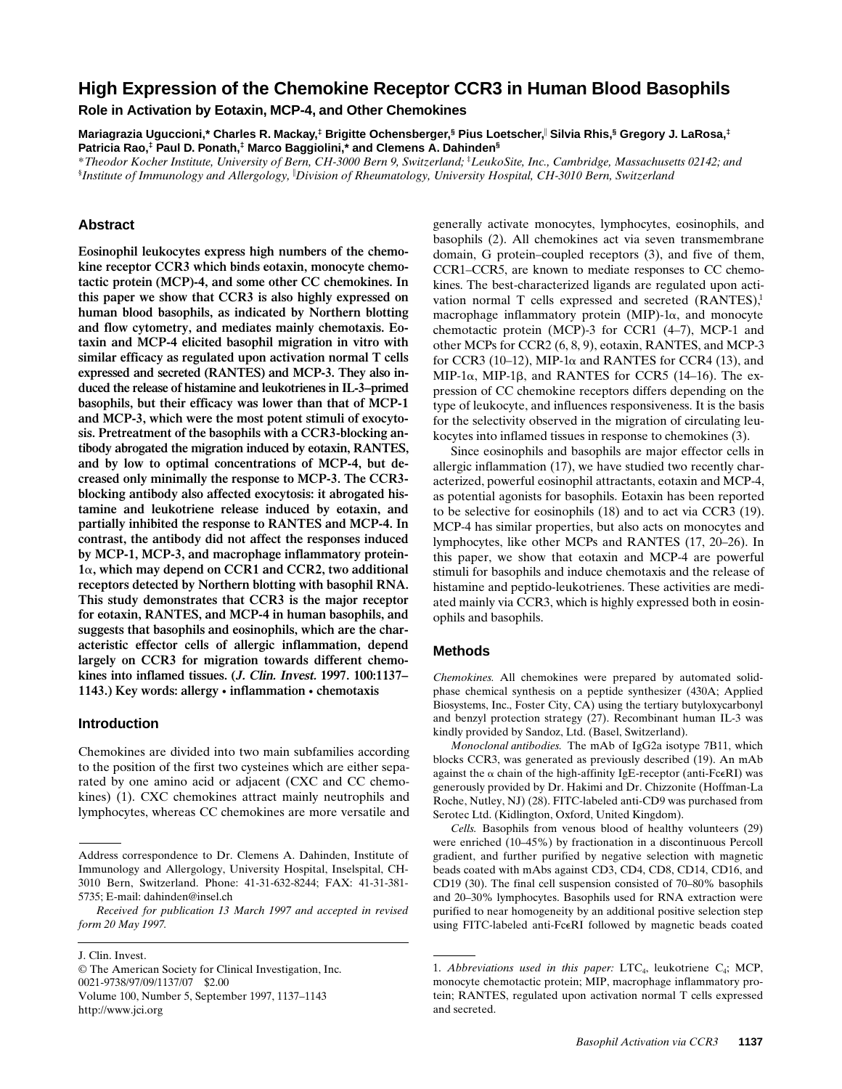# **High Expression of the Chemokine Receptor CCR3 in Human Blood Basophils**

**Role in Activation by Eotaxin, MCP-4, and Other Chemokines**

**Mariagrazia Uguccioni,\* Charles R. Mackay,‡ Brigitte Ochensberger,§ Pius Loetscher,**<sup>i</sup>  **Silvia Rhis,§ Gregory J. LaRosa,‡ Patricia Rao,‡ Paul D. Ponath,‡ Marco Baggiolini,\* and Clemens A. Dahinden§**

\**Theodor Kocher Institute, University of Bern, CH-3000 Bern 9, Switzerland;* ‡ *LeukoSite, Inc., Cambridge, Massachusetts 02142; and* § *Institute of Immunology and Allergology,* <sup>i</sup> *Division of Rheumatology, University Hospital, CH-3010 Bern, Switzerland*

# **Abstract**

**Eosinophil leukocytes express high numbers of the chemokine receptor CCR3 which binds eotaxin, monocyte chemotactic protein (MCP)-4, and some other CC chemokines. In this paper we show that CCR3 is also highly expressed on human blood basophils, as indicated by Northern blotting and flow cytometry, and mediates mainly chemotaxis. Eotaxin and MCP-4 elicited basophil migration in vitro with similar efficacy as regulated upon activation normal T cells expressed and secreted (RANTES) and MCP-3. They also induced the release of histamine and leukotrienes in IL-3–primed basophils, but their efficacy was lower than that of MCP-1 and MCP-3, which were the most potent stimuli of exocytosis. Pretreatment of the basophils with a CCR3-blocking antibody abrogated the migration induced by eotaxin, RANTES, and by low to optimal concentrations of MCP-4, but decreased only minimally the response to MCP-3. The CCR3 blocking antibody also affected exocytosis: it abrogated histamine and leukotriene release induced by eotaxin, and partially inhibited the response to RANTES and MCP-4. In contrast, the antibody did not affect the responses induced by MCP-1, MCP-3, and macrophage inflammatory protein-1**a**, which may depend on CCR1 and CCR2, two additional receptors detected by Northern blotting with basophil RNA. This study demonstrates that CCR3 is the major receptor for eotaxin, RANTES, and MCP-4 in human basophils, and suggests that basophils and eosinophils, which are the characteristic effector cells of allergic inflammation, depend largely on CCR3 for migration towards different chemokines into inflamed tissues. (J. Clin. Invest. 1997. 100:1137– 1143.) Key words: allergy • inflammation • chemotaxis**

#### **Introduction**

Chemokines are divided into two main subfamilies according to the position of the first two cysteines which are either separated by one amino acid or adjacent (CXC and CC chemokines) (1). CXC chemokines attract mainly neutrophils and lymphocytes, whereas CC chemokines are more versatile and

*Received for publication 13 March 1997 and accepted in revised form 20 May 1997.*

© The American Society for Clinical Investigation, Inc. 0021-9738/97/09/1137/07 \$2.00 Volume 100, Number 5, September 1997, 1137–1143 http://www.jci.org

generally activate monocytes, lymphocytes, eosinophils, and basophils (2). All chemokines act via seven transmembrane domain, G protein–coupled receptors (3), and five of them, CCR1–CCR5, are known to mediate responses to CC chemokines. The best-characterized ligands are regulated upon activation normal  $T$  cells expressed and secreted  $(RANTES)^1$ . macrophage inflammatory protein (MIP)- $1\alpha$ , and monocyte chemotactic protein (MCP)-3 for CCR1 (4–7), MCP-1 and other MCPs for CCR2 (6, 8, 9), eotaxin, RANTES, and MCP-3 for CCR3 (10–12), MIP-1 $\alpha$  and RANTES for CCR4 (13), and MIP-1 $\alpha$ , MIP-1 $\beta$ , and RANTES for CCR5 (14–16). The expression of CC chemokine receptors differs depending on the type of leukocyte, and influences responsiveness. It is the basis for the selectivity observed in the migration of circulating leukocytes into inflamed tissues in response to chemokines (3).

Since eosinophils and basophils are major effector cells in allergic inflammation (17), we have studied two recently characterized, powerful eosinophil attractants, eotaxin and MCP-4, as potential agonists for basophils. Eotaxin has been reported to be selective for eosinophils (18) and to act via CCR3 (19). MCP-4 has similar properties, but also acts on monocytes and lymphocytes, like other MCPs and RANTES (17, 20–26). In this paper, we show that eotaxin and MCP-4 are powerful stimuli for basophils and induce chemotaxis and the release of histamine and peptido-leukotrienes. These activities are mediated mainly via CCR3, which is highly expressed both in eosinophils and basophils.

## **Methods**

*Chemokines.* All chemokines were prepared by automated solidphase chemical synthesis on a peptide synthesizer (430A; Applied Biosystems, Inc., Foster City, CA) using the tertiary butyloxycarbonyl and benzyl protection strategy (27). Recombinant human IL-3 was kindly provided by Sandoz, Ltd. (Basel, Switzerland).

*Monoclonal antibodies.* The mAb of IgG2a isotype 7B11, which blocks CCR3, was generated as previously described (19). An mAb against the  $\alpha$  chain of the high-affinity IgE-receptor (anti-FceRI) was generously provided by Dr. Hakimi and Dr. Chizzonite (Hoffman-La Roche, Nutley, NJ) (28). FITC-labeled anti-CD9 was purchased from Serotec Ltd. (Kidlington, Oxford, United Kingdom).

*Cells.* Basophils from venous blood of healthy volunteers (29) were enriched (10–45%) by fractionation in a discontinuous Percoll gradient, and further purified by negative selection with magnetic beads coated with mAbs against CD3, CD4, CD8, CD14, CD16, and CD19 (30). The final cell suspension consisted of 70–80% basophils and 20–30% lymphocytes. Basophils used for RNA extraction were purified to near homogeneity by an additional positive selection step using FITC-labeled anti-FceRI followed by magnetic beads coated

Address correspondence to Dr. Clemens A. Dahinden, Institute of Immunology and Allergology, University Hospital, Inselspital, CH-3010 Bern, Switzerland. Phone: 41-31-632-8244; FAX: 41-31-381- 5735; E-mail: dahinden@insel.ch

J. Clin. Invest.

<sup>1.</sup> *Abbreviations used in this paper:* LTC<sub>4</sub>, leukotriene C<sub>4</sub>; MCP, monocyte chemotactic protein; MIP, macrophage inflammatory protein; RANTES, regulated upon activation normal T cells expressed and secreted.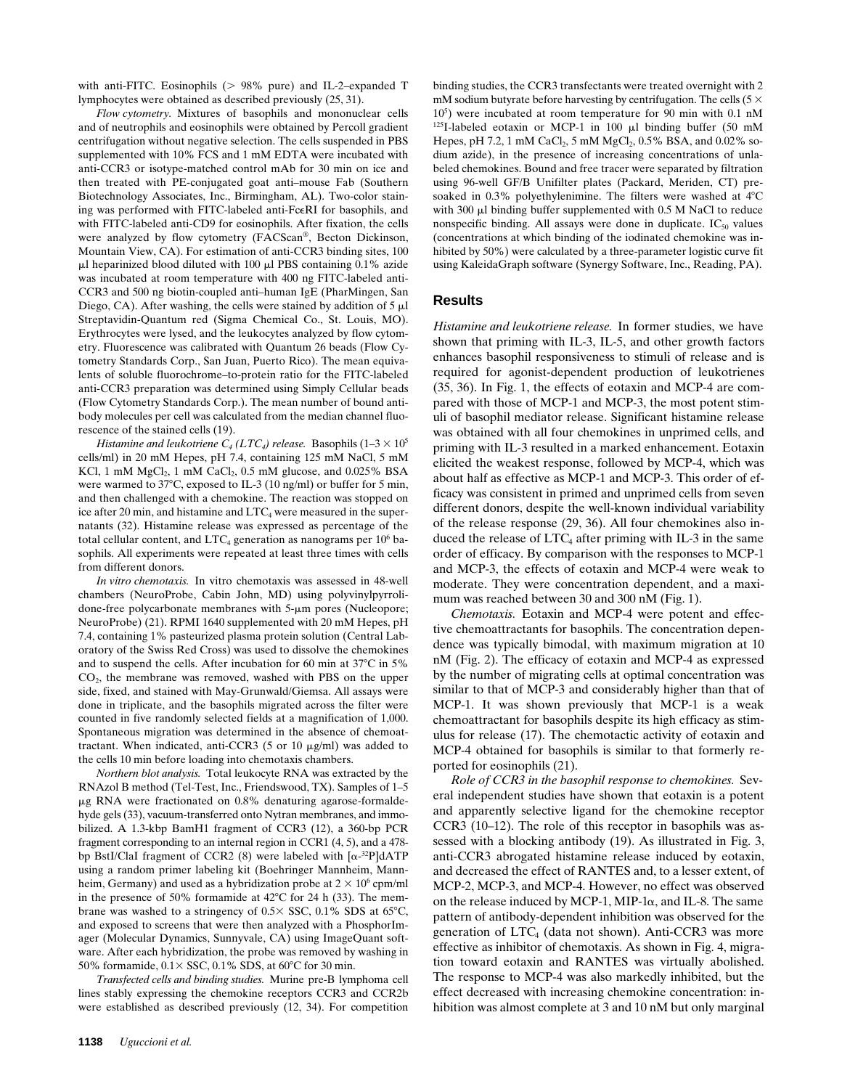with anti-FITC. Eosinophils  $(> 98\%$  pure) and IL-2–expanded T lymphocytes were obtained as described previously (25, 31).

*Flow cytometry.* Mixtures of basophils and mononuclear cells and of neutrophils and eosinophils were obtained by Percoll gradient centrifugation without negative selection. The cells suspended in PBS supplemented with 10% FCS and 1 mM EDTA were incubated with anti-CCR3 or isotype-matched control mAb for 30 min on ice and then treated with PE-conjugated goat anti–mouse Fab (Southern Biotechnology Associates, Inc., Birmingham, AL). Two-color staining was performed with FITC-labeled anti-FceRI for basophils, and with FITC-labeled anti-CD9 for eosinophils. After fixation, the cells were analyzed by flow cytometry (FACScan®, Becton Dickinson, Mountain View, CA). For estimation of anti-CCR3 binding sites, 100  $\mu$ l heparinized blood diluted with 100  $\mu$ l PBS containing 0.1% azide was incubated at room temperature with 400 ng FITC-labeled anti-CCR3 and 500 ng biotin-coupled anti–human IgE (PharMingen, San Diego, CA). After washing, the cells were stained by addition of  $5 \mu$ l Streptavidin-Quantum red (Sigma Chemical Co., St. Louis, MO). Erythrocytes were lysed, and the leukocytes analyzed by flow cytometry. Fluorescence was calibrated with Quantum 26 beads (Flow Cytometry Standards Corp., San Juan, Puerto Rico). The mean equivalents of soluble fluorochrome–to-protein ratio for the FITC-labeled anti-CCR3 preparation was determined using Simply Cellular beads (Flow Cytometry Standards Corp.). The mean number of bound antibody molecules per cell was calculated from the median channel fluorescence of the stained cells (19).

*Histamine and leukotriene*  $C_4$  *(LTC<sub>4</sub>) release.* Basophils  $(1-3 \times 10^5)$ cells/ml) in 20 mM Hepes, pH 7.4, containing 125 mM NaCl, 5 mM KCl, 1 mM  $MgCl<sub>2</sub>$ , 1 mM  $CaCl<sub>2</sub>$ , 0.5 mM glucose, and 0.025% BSA were warmed to  $37^{\circ}$ C, exposed to IL-3 (10 ng/ml) or buffer for 5 min, and then challenged with a chemokine. The reaction was stopped on ice after 20 min, and histamine and  $LTC_4$  were measured in the supernatants (32). Histamine release was expressed as percentage of the total cellular content, and  $\mathrm{LTC}_4$  generation as nanograms per  $10^6$  basophils. All experiments were repeated at least three times with cells from different donors.

*In vitro chemotaxis.* In vitro chemotaxis was assessed in 48-well chambers (NeuroProbe, Cabin John, MD) using polyvinylpyrrolidone-free polycarbonate membranes with  $5-\mu m$  pores (Nucleopore; NeuroProbe) (21). RPMI 1640 supplemented with 20 mM Hepes, pH 7.4, containing 1% pasteurized plasma protein solution (Central Laboratory of the Swiss Red Cross) was used to dissolve the chemokines and to suspend the cells. After incubation for 60 min at  $37^{\circ}$ C in 5%  $CO<sub>2</sub>$ , the membrane was removed, washed with PBS on the upper side, fixed, and stained with May-Grunwald/Giemsa. All assays were done in triplicate, and the basophils migrated across the filter were counted in five randomly selected fields at a magnification of 1,000. Spontaneous migration was determined in the absence of chemoattractant. When indicated, anti-CCR3 (5 or 10  $\mu$ g/ml) was added to the cells 10 min before loading into chemotaxis chambers.

*Northern blot analysis.* Total leukocyte RNA was extracted by the RNAzol B method (Tel-Test, Inc., Friendswood, TX). Samples of 1–5  $\mu$ g RNA were fractionated on 0.8% denaturing agarose-formaldehyde gels (33), vacuum-transferred onto Nytran membranes, and immobilized. A 1.3-kbp BamH1 fragment of CCR3 (12), a 360-bp PCR fragment corresponding to an internal region in CCR1 (4, 5), and a 478 bp BstI/ClaI fragment of CCR2 (8) were labeled with  $\lceil \alpha^{-32}P \rceil dATP$ using a random primer labeling kit (Boehringer Mannheim, Mannheim, Germany) and used as a hybridization probe at  $2 \times 10^6$  cpm/ml in the presence of 50% formamide at  $42^{\circ}$ C for 24 h (33). The membrane was washed to a stringency of  $0.5 \times$  SSC,  $0.1\%$  SDS at 65°C, and exposed to screens that were then analyzed with a PhosphorImager (Molecular Dynamics, Sunnyvale, CA) using ImageQuant software. After each hybridization, the probe was removed by washing in 50% formamide,  $0.1 \times$  SSC,  $0.1\%$  SDS, at 60°C for 30 min.

*Transfected cells and binding studies.* Murine pre-B lymphoma cell lines stably expressing the chemokine receptors CCR3 and CCR2b were established as described previously (12, 34). For competition binding studies, the CCR3 transfectants were treated overnight with 2 mM sodium butyrate before harvesting by centrifugation. The cells ( $5 \times$ 105 ) were incubated at room temperature for 90 min with 0.1 nM  $125$ I-labeled eotaxin or MCP-1 in 100  $\mu$ l binding buffer (50 mM Hepes, pH 7.2, 1 mM CaCl<sub>2</sub>, 5 mM MgCl<sub>2</sub>, 0.5% BSA, and 0.02% sodium azide), in the presence of increasing concentrations of unlabeled chemokines. Bound and free tracer were separated by filtration using 96-well GF/B Unifilter plates (Packard, Meriden, CT) presoaked in 0.3% polyethylenimine. The filters were washed at  $4^{\circ}$ C with 300 µl binding buffer supplemented with 0.5 M NaCl to reduce nonspecific binding. All assays were done in duplicate.  $IC_{50}$  values (concentrations at which binding of the iodinated chemokine was inhibited by 50%) were calculated by a three-parameter logistic curve fit using KaleidaGraph software (Synergy Software, Inc., Reading, PA).

## **Results**

*Histamine and leukotriene release.* In former studies, we have shown that priming with IL-3, IL-5, and other growth factors enhances basophil responsiveness to stimuli of release and is required for agonist-dependent production of leukotrienes (35, 36). In Fig. 1, the effects of eotaxin and MCP-4 are compared with those of MCP-1 and MCP-3, the most potent stimuli of basophil mediator release. Significant histamine release was obtained with all four chemokines in unprimed cells, and priming with IL-3 resulted in a marked enhancement. Eotaxin elicited the weakest response, followed by MCP-4, which was about half as effective as MCP-1 and MCP-3. This order of efficacy was consistent in primed and unprimed cells from seven different donors, despite the well-known individual variability of the release response (29, 36). All four chemokines also induced the release of  $LTC<sub>4</sub>$  after priming with IL-3 in the same order of efficacy. By comparison with the responses to MCP-1 and MCP-3, the effects of eotaxin and MCP-4 were weak to moderate. They were concentration dependent, and a maximum was reached between 30 and 300 nM (Fig. 1).

*Chemotaxis.* Eotaxin and MCP-4 were potent and effective chemoattractants for basophils. The concentration dependence was typically bimodal, with maximum migration at 10 nM (Fig. 2). The efficacy of eotaxin and MCP-4 as expressed by the number of migrating cells at optimal concentration was similar to that of MCP-3 and considerably higher than that of MCP-1. It was shown previously that MCP-1 is a weak chemoattractant for basophils despite its high efficacy as stimulus for release (17). The chemotactic activity of eotaxin and MCP-4 obtained for basophils is similar to that formerly reported for eosinophils (21).

*Role of CCR3 in the basophil response to chemokines.* Several independent studies have shown that eotaxin is a potent and apparently selective ligand for the chemokine receptor CCR3 (10–12). The role of this receptor in basophils was assessed with a blocking antibody (19). As illustrated in Fig. 3, anti-CCR3 abrogated histamine release induced by eotaxin, and decreased the effect of RANTES and, to a lesser extent, of MCP-2, MCP-3, and MCP-4. However, no effect was observed on the release induced by MCP-1, MIP-1 $\alpha$ , and IL-8. The same pattern of antibody-dependent inhibition was observed for the generation of  $LTC<sub>4</sub>$  (data not shown). Anti-CCR3 was more effective as inhibitor of chemotaxis. As shown in Fig. 4, migration toward eotaxin and RANTES was virtually abolished. The response to MCP-4 was also markedly inhibited, but the effect decreased with increasing chemokine concentration: inhibition was almost complete at 3 and 10 nM but only marginal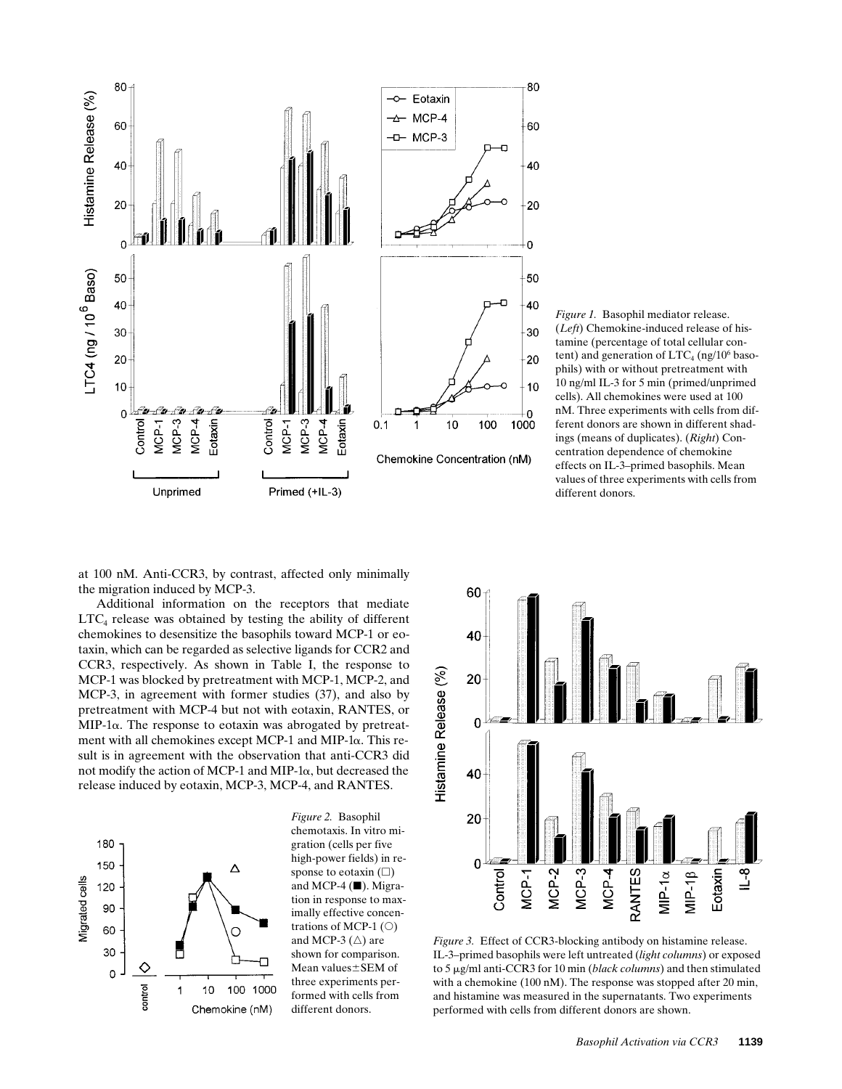

*Figure 1.* Basophil mediator release. (*Left*) Chemokine-induced release of histamine (percentage of total cellular content) and generation of  $\mathrm{LTC}_4$  (ng/10<sup>6</sup> basophils) with or without pretreatment with 10 ng/ml IL-3 for 5 min (primed/unprimed cells). All chemokines were used at 100 nM. Three experiments with cells from different donors are shown in different shadings (means of duplicates). (*Right*) Concentration dependence of chemokine effects on IL-3–primed basophils. Mean values of three experiments with cells from different donors.

at 100 nM. Anti-CCR3, by contrast, affected only minimally the migration induced by MCP-3.

Additional information on the receptors that mediate  $LTC_4$  release was obtained by testing the ability of different chemokines to desensitize the basophils toward MCP-1 or eotaxin, which can be regarded as selective ligands for CCR2 and CCR3, respectively. As shown in Table I, the response to MCP-1 was blocked by pretreatment with MCP-1, MCP-2, and MCP-3, in agreement with former studies (37), and also by pretreatment with MCP-4 but not with eotaxin, RANTES, or  $MIP-1\alpha$ . The response to eotaxin was abrogated by pretreatment with all chemokines except MCP-1 and MIP-1 $\alpha$ . This result is in agreement with the observation that anti-CCR3 did not modify the action of MCP-1 and MIP-1a, but decreased the release induced by eotaxin, MCP-3, MCP-4, and RANTES.



*Figure 2.* Basophil chemotaxis. In vitro migration (cells per five high-power fields) in response to eotaxin  $(\Box)$ and MCP-4  $(\blacksquare)$ . Migration in response to maximally effective concentrations of MCP-1 $(O)$ and MCP-3  $(\triangle)$  are shown for comparison. Mean values±SEM of three experiments performed with cells from different donors.



*Figure 3.* Effect of CCR3-blocking antibody on histamine release. IL-3–primed basophils were left untreated (*light columns*) or exposed to 5 mg/ml anti-CCR3 for 10 min (*black columns*) and then stimulated with a chemokine (100 nM). The response was stopped after 20 min, and histamine was measured in the supernatants. Two experiments performed with cells from different donors are shown.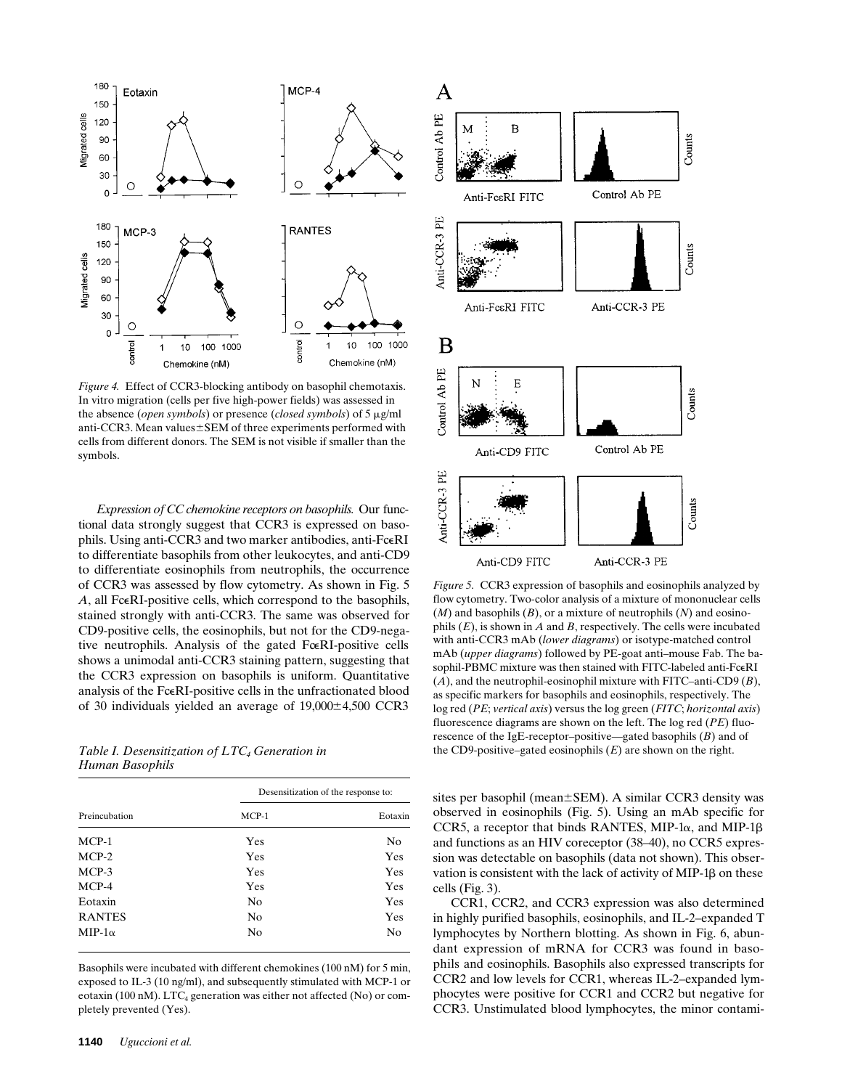

*Figure 4.* Effect of CCR3-blocking antibody on basophil chemotaxis. In vitro migration (cells per five high-power fields) was assessed in the absence (*open symbols*) or presence (*closed symbols*) of 5  $\mu$ g/ml anti-CCR3. Mean values $\pm$ SEM of three experiments performed with cells from different donors. The SEM is not visible if smaller than the symbols.

*Expression of CC chemokine receptors on basophils.* Our functional data strongly suggest that CCR3 is expressed on basophils. Using anti-CCR3 and two marker antibodies, anti-FceRI to differentiate basophils from other leukocytes, and anti-CD9 to differentiate eosinophils from neutrophils, the occurrence of CCR3 was assessed by flow cytometry. As shown in Fig. 5 A, all FceRI-positive cells, which correspond to the basophils, stained strongly with anti-CCR3. The same was observed for CD9-positive cells, the eosinophils, but not for the CD9-negative neutrophils. Analysis of the gated Fore RI-positive cells shows a unimodal anti-CCR3 staining pattern, suggesting that the CCR3 expression on basophils is uniform. Quantitative analysis of the FceRI-positive cells in the unfractionated blood of 30 individuals yielded an average of  $19,000\pm4,500$  CCR3

*Human Basophils*

| Preincubation | Desensitization of the response to: |         |  |  |
|---------------|-------------------------------------|---------|--|--|
|               | $MCP-1$                             | Eotaxin |  |  |
| $MCP-1$       | Yes                                 | No      |  |  |
| $MCP-2$       | Yes                                 | Yes     |  |  |
| $MCP-3$       | Yes                                 | Yes     |  |  |
| $MCP-4$       | Yes                                 | Yes     |  |  |
| Eotaxin       | N <sub>0</sub>                      | Yes     |  |  |
| <b>RANTES</b> | N <sub>0</sub>                      | Yes     |  |  |
| $MIP-1\alpha$ | No                                  | No      |  |  |

Basophils were incubated with different chemokines (100 nM) for 5 min, exposed to IL-3 (10 ng/ml), and subsequently stimulated with MCP-1 or eotaxin (100 nM).  $LTC_4$  generation was either not affected (No) or completely prevented (Yes).



*Figure 5.* CCR3 expression of basophils and eosinophils analyzed by flow cytometry. Two-color analysis of a mixture of mononuclear cells (*M*) and basophils (*B*), or a mixture of neutrophils (*N*) and eosinophils (*E*), is shown in *A* and *B*, respectively. The cells were incubated with anti-CCR3 mAb (*lower diagrams*) or isotype-matched control mAb (*upper diagrams*) followed by PE-goat anti–mouse Fab. The basophil-PBMC mixture was then stained with FITC-labeled anti-FceRI (*A*), and the neutrophil-eosinophil mixture with FITC–anti-CD9 (*B*), as specific markers for basophils and eosinophils, respectively. The log red (*PE*; *vertical axis*) versus the log green (*FITC*; *horizontal axis*) fluorescence diagrams are shown on the left. The log red (*PE*) fluorescence of the IgE-receptor–positive—gated basophils (*B*) and of *Table I. Desensitization of LTC Generation in* the CD9-positive–gated eosinophils (*E*) are shown on the right.

sites per basophil (mean±SEM). A similar CCR3 density was observed in eosinophils (Fig. 5). Using an mAb specific for CCR5, a receptor that binds RANTES, MIP-1 $\alpha$ , and MIP-1 $\beta$ and functions as an HIV coreceptor (38–40), no CCR5 expression was detectable on basophils (data not shown). This observation is consistent with the lack of activity of MIP-1 $\beta$  on these cells (Fig. 3).

CCR1, CCR2, and CCR3 expression was also determined in highly purified basophils, eosinophils, and IL-2–expanded T lymphocytes by Northern blotting. As shown in Fig. 6, abundant expression of mRNA for CCR3 was found in basophils and eosinophils. Basophils also expressed transcripts for CCR2 and low levels for CCR1, whereas IL-2–expanded lymphocytes were positive for CCR1 and CCR2 but negative for CCR3. Unstimulated blood lymphocytes, the minor contami-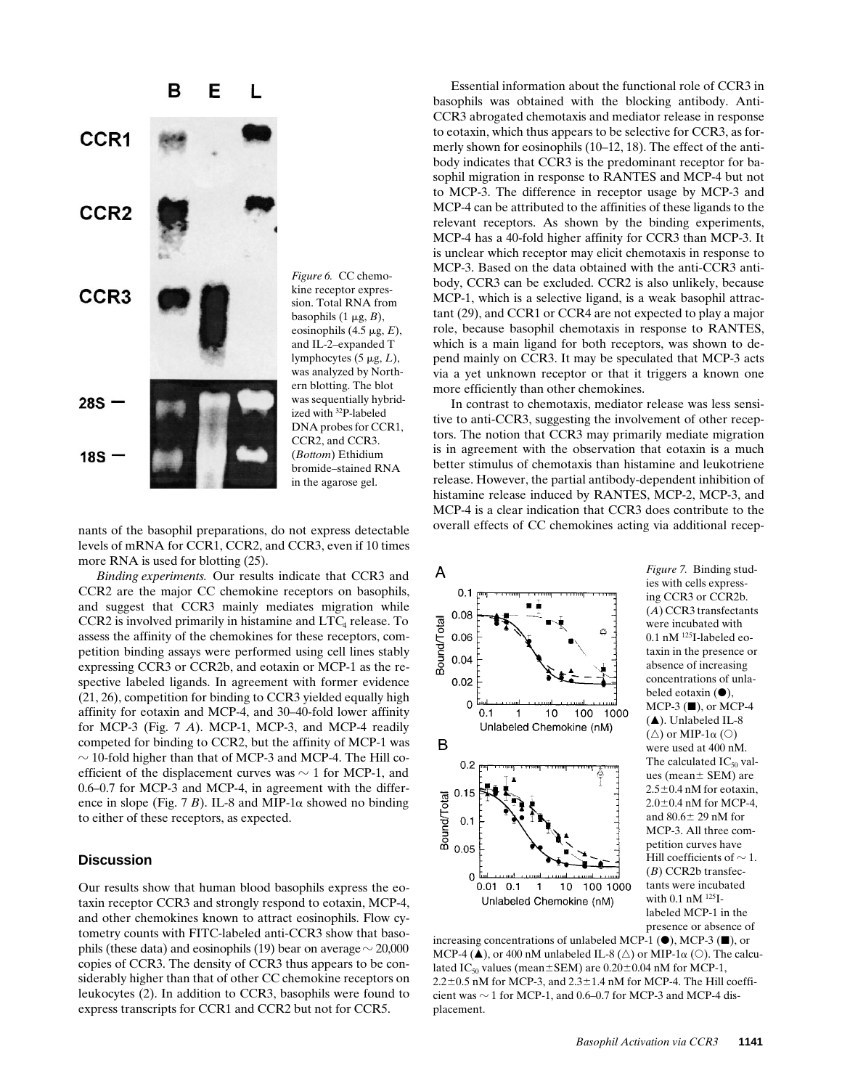

and IL-2–expanded T lymphocytes  $(5 \mu g, L)$ , was analyzed by Northern blotting. The blot was sequentially hybridized with 32P-labeled DNA probes for CCR1, CCR2, and CCR3. (*Bottom*) Ethidium bromide–stained RNA in the agarose gel.

nants of the basophil preparations, do not express detectable levels of mRNA for CCR1, CCR2, and CCR3, even if 10 times more RNA is used for blotting (25).

*Binding experiments.* Our results indicate that CCR3 and CCR2 are the major CC chemokine receptors on basophils, and suggest that CCR3 mainly mediates migration while CCR2 is involved primarily in histamine and LTC4 release. To assess the affinity of the chemokines for these receptors, competition binding assays were performed using cell lines stably expressing CCR3 or CCR2b, and eotaxin or MCP-1 as the respective labeled ligands. In agreement with former evidence (21, 26), competition for binding to CCR3 yielded equally high affinity for eotaxin and MCP-4, and 30–40-fold lower affinity for MCP-3 (Fig. 7 *A*). MCP-1, MCP-3, and MCP-4 readily competed for binding to CCR2, but the affinity of MCP-1 was  $\sim$  10-fold higher than that of MCP-3 and MCP-4. The Hill coefficient of the displacement curves was  $\sim$  1 for MCP-1, and 0.6–0.7 for MCP-3 and MCP-4, in agreement with the difference in slope (Fig. 7 *B*). IL-8 and MIP-1 $\alpha$  showed no binding to either of these receptors, as expected.

# **Discussion**

Our results show that human blood basophils express the eotaxin receptor CCR3 and strongly respond to eotaxin, MCP-4, and other chemokines known to attract eosinophils. Flow cytometry counts with FITC-labeled anti-CCR3 show that basophils (these data) and eosinophils (19) bear on average  $\sim$  20,000 copies of CCR3. The density of CCR3 thus appears to be considerably higher than that of other CC chemokine receptors on leukocytes (2). In addition to CCR3, basophils were found to express transcripts for CCR1 and CCR2 but not for CCR5.

Essential information about the functional role of CCR3 in basophils was obtained with the blocking antibody. Anti-CCR3 abrogated chemotaxis and mediator release in response to eotaxin, which thus appears to be selective for CCR3, as formerly shown for eosinophils (10–12, 18). The effect of the antibody indicates that CCR3 is the predominant receptor for basophil migration in response to RANTES and MCP-4 but not to MCP-3. The difference in receptor usage by MCP-3 and MCP-4 can be attributed to the affinities of these ligands to the relevant receptors. As shown by the binding experiments, MCP-4 has a 40-fold higher affinity for CCR3 than MCP-3. It is unclear which receptor may elicit chemotaxis in response to MCP-3. Based on the data obtained with the anti-CCR3 antibody, CCR3 can be excluded. CCR2 is also unlikely, because MCP-1, which is a selective ligand, is a weak basophil attractant (29), and CCR1 or CCR4 are not expected to play a major role, because basophil chemotaxis in response to RANTES, which is a main ligand for both receptors, was shown to depend mainly on CCR3. It may be speculated that MCP-3 acts via a yet unknown receptor or that it triggers a known one more efficiently than other chemokines.

In contrast to chemotaxis, mediator release was less sensitive to anti-CCR3, suggesting the involvement of other receptors. The notion that CCR3 may primarily mediate migration is in agreement with the observation that eotaxin is a much better stimulus of chemotaxis than histamine and leukotriene release. However, the partial antibody-dependent inhibition of histamine release induced by RANTES, MCP-2, MCP-3, and MCP-4 is a clear indication that CCR3 does contribute to the overall effects of CC chemokines acting via additional recep-



*Figure 7.* Binding studies with cells expressing CCR3 or CCR2b. (*A*) CCR3 transfectants were incubated with 0.1 nM 125I-labeled eotaxin in the presence or absence of increasing concentrations of unlabeled eotaxin  $(①)$ ,  $MCP-3$  ( $\blacksquare$ ), or MCP-4  $(A)$ . Unlabeled IL-8  $(\triangle)$  or MIP-1 $\alpha$  (O) were used at 400 nM. The calculated  $IC_{50}$  values (mean $\pm$  SEM) are  $2.5\pm0.4$  nM for eotaxin,  $2.0\pm0.4$  nM for MCP-4, and  $80.6 \pm 29$  nM for MCP-3. All three competition curves have Hill coefficients of  $\sim$  1. (*B*) CCR2b transfectants were incubated with 0.1 nM 125Ilabeled MCP-1 in the presence or absence of

increasing concentrations of unlabeled MCP-1  $(\bullet)$ , MCP-3  $(\blacksquare)$ , or MCP-4 ( $\blacktriangle$ ), or 400 nM unlabeled IL-8 ( $\triangle$ ) or MIP-1 $\alpha$  ( $\odot$ ). The calculated IC<sub>50</sub> values (mean $\pm$ SEM) are 0.20 $\pm$ 0.04 nM for MCP-1,  $2.2\pm0.5$  nM for MCP-3, and  $2.3\pm1.4$  nM for MCP-4. The Hill coefficient was  $\sim$  1 for MCP-1, and 0.6–0.7 for MCP-3 and MCP-4 displacement.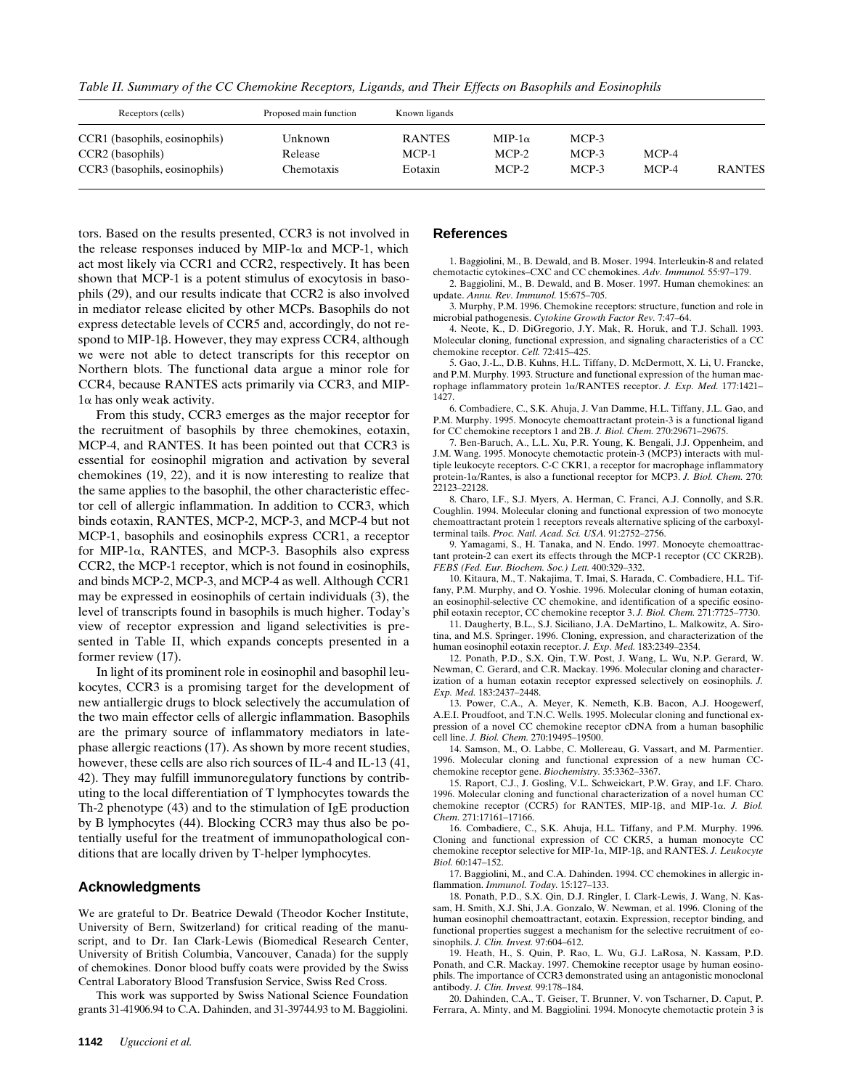*Table II. Summary of the CC Chemokine Receptors, Ligands, and Their Effects on Basophils and Eosinophils*

| Receptors (cells)                                                                  | Proposed main function           | Known ligands                       |                                     |                           |                    |               |
|------------------------------------------------------------------------------------|----------------------------------|-------------------------------------|-------------------------------------|---------------------------|--------------------|---------------|
| CCR1 (basophils, eosinophils)<br>CCR2 (basophils)<br>CCR3 (basophils, eosinophils) | Unknown<br>Release<br>Chemotaxis | <b>RANTES</b><br>$MCP-1$<br>Eotaxin | $MIP-1\alpha$<br>$MCP-2$<br>$MCP-2$ | MCP-3<br>MCP-3<br>$MCP-3$ | $MCP-4$<br>$MCP-4$ | <b>RANTES</b> |

tors. Based on the results presented, CCR3 is not involved in the release responses induced by MIP-1 $\alpha$  and MCP-1, which act most likely via CCR1 and CCR2, respectively. It has been shown that MCP-1 is a potent stimulus of exocytosis in basophils (29), and our results indicate that CCR2 is also involved in mediator release elicited by other MCPs. Basophils do not express detectable levels of CCR5 and, accordingly, do not respond to MIP-1 $\beta$ . However, they may express CCR4, although we were not able to detect transcripts for this receptor on Northern blots. The functional data argue a minor role for CCR4, because RANTES acts primarily via CCR3, and MIP- $1\alpha$  has only weak activity.

From this study, CCR3 emerges as the major receptor for the recruitment of basophils by three chemokines, eotaxin, MCP-4, and RANTES. It has been pointed out that CCR3 is essential for eosinophil migration and activation by several chemokines (19, 22), and it is now interesting to realize that the same applies to the basophil, the other characteristic effector cell of allergic inflammation. In addition to CCR3, which binds eotaxin, RANTES, MCP-2, MCP-3, and MCP-4 but not MCP-1, basophils and eosinophils express CCR1, a receptor for MIP-1 $\alpha$ , RANTES, and MCP-3. Basophils also express CCR2, the MCP-1 receptor, which is not found in eosinophils, and binds MCP-2, MCP-3, and MCP-4 as well. Although CCR1 may be expressed in eosinophils of certain individuals (3), the level of transcripts found in basophils is much higher. Today's view of receptor expression and ligand selectivities is presented in Table II, which expands concepts presented in a former review (17).

In light of its prominent role in eosinophil and basophil leukocytes, CCR3 is a promising target for the development of new antiallergic drugs to block selectively the accumulation of the two main effector cells of allergic inflammation. Basophils are the primary source of inflammatory mediators in latephase allergic reactions (17). As shown by more recent studies, however, these cells are also rich sources of IL-4 and IL-13 (41, 42). They may fulfill immunoregulatory functions by contributing to the local differentiation of T lymphocytes towards the Th-2 phenotype (43) and to the stimulation of IgE production by B lymphocytes (44). Blocking CCR3 may thus also be potentially useful for the treatment of immunopathological conditions that are locally driven by T-helper lymphocytes.

### **Acknowledgments**

We are grateful to Dr. Beatrice Dewald (Theodor Kocher Institute, University of Bern, Switzerland) for critical reading of the manuscript, and to Dr. Ian Clark-Lewis (Biomedical Research Center, University of British Columbia, Vancouver, Canada) for the supply of chemokines. Donor blood buffy coats were provided by the Swiss Central Laboratory Blood Transfusion Service, Swiss Red Cross.

This work was supported by Swiss National Science Foundation grants 31-41906.94 to C.A. Dahinden, and 31-39744.93 to M. Baggiolini.

#### **References**

1. Baggiolini, M., B. Dewald, and B. Moser. 1994. Interleukin-8 and related chemotactic cytokines–CXC and CC chemokines. *Adv. Immunol.* 55:97–179.

2. Baggiolini, M., B. Dewald, and B. Moser. 1997. Human chemokines: an update. *Annu. Rev. Immunol.* 15:675–705.

3. Murphy, P.M. 1996. Chemokine receptors: structure, function and role in microbial pathogenesis. *Cytokine Growth Factor Rev.* 7:47–64.

4. Neote, K., D. DiGregorio, J.Y. Mak, R. Horuk, and T.J. Schall. 1993. Molecular cloning, functional expression, and signaling characteristics of a CC chemokine receptor. *Cell.* 72:415–425.

5. Gao, J.-L., D.B. Kuhns, H.L. Tiffany, D. McDermott, X. Li, U. Francke, and P.M. Murphy. 1993. Structure and functional expression of the human macrophage inflammatory protein 1a/RANTES receptor. *J. Exp. Med.* 177:1421– 1427.

6. Combadiere, C., S.K. Ahuja, J. Van Damme, H.L. Tiffany, J.L. Gao, and P.M. Murphy. 1995. Monocyte chemoattractant protein-3 is a functional ligand for CC chemokine receptors 1 and 2B. *J. Biol. Chem.* 270:29671–29675.

7. Ben-Baruch, A., L.L. Xu, P.R. Young, K. Bengali, J.J. Oppenheim, and J.M. Wang. 1995. Monocyte chemotactic protein-3 (MCP3) interacts with multiple leukocyte receptors. C-C CKR1, a receptor for macrophage inflammatory protein-1a/Rantes, is also a functional receptor for MCP3. *J. Biol. Chem.* 270: 22123–22128.

8. Charo, I.F., S.J. Myers, A. Herman, C. Franci, A.J. Connolly, and S.R. Coughlin. 1994. Molecular cloning and functional expression of two monocyte chemoattractant protein 1 receptors reveals alternative splicing of the carboxylterminal tails. *Proc. Natl. Acad. Sci. USA.* 91:2752–2756.

9. Yamagami, S., H. Tanaka, and N. Endo. 1997. Monocyte chemoattractant protein-2 can exert its effects through the MCP-1 receptor (CC CKR2B). *FEBS (Fed. Eur. Biochem. Soc.) Lett.* 400:329–332.

10. Kitaura, M., T. Nakajima, T. Imai, S. Harada, C. Combadiere, H.L. Tiffany, P.M. Murphy, and O. Yoshie. 1996. Molecular cloning of human eotaxin, an eosinophil-selective CC chemokine, and identification of a specific eosinophil eotaxin receptor, CC chemokine receptor 3. *J. Biol. Chem.* 271:7725–7730.

11. Daugherty, B.L., S.J. Siciliano, J.A. DeMartino, L. Malkowitz, A. Sirotina, and M.S. Springer. 1996. Cloning, expression, and characterization of the human eosinophil eotaxin receptor. *J. Exp. Med.* 183:2349–2354.

12. Ponath, P.D., S.X. Qin, T.W. Post, J. Wang, L. Wu, N.P. Gerard, W. Newman, C. Gerard, and C.R. Mackay. 1996. Molecular cloning and characterization of a human eotaxin receptor expressed selectively on eosinophils. *J. Exp. Med.* 183:2437–2448.

13. Power, C.A., A. Meyer, K. Nemeth, K.B. Bacon, A.J. Hoogewerf, A.E.I. Proudfoot, and T.N.C. Wells. 1995. Molecular cloning and functional expression of a novel CC chemokine receptor cDNA from a human basophilic cell line. *J. Biol. Chem.* 270:19495–19500.

14. Samson, M., O. Labbe, C. Mollereau, G. Vassart, and M. Parmentier. 1996. Molecular cloning and functional expression of a new human CCchemokine receptor gene. *Biochemistry.* 35:3362–3367.

15. Raport, C.J., J. Gosling, V.L. Schweickart, P.W. Gray, and I.F. Charo. 1996. Molecular cloning and functional characterization of a novel human CC chemokine receptor (CCR5) for RANTES, MIP-1β, and MIP-1α. *J. Biol. Chem.* 271:17161–17166.

16. Combadiere, C., S.K. Ahuja, H.L. Tiffany, and P.M. Murphy. 1996. Cloning and functional expression of CC CKR5, a human monocyte CC chemokine receptor selective for MIP-1a, MIP-1b, and RANTES. *J. Leukocyte Biol.* 60:147–152.

17. Baggiolini, M., and C.A. Dahinden. 1994. CC chemokines in allergic inflammation. *Immunol. Today.* 15:127–133.

18. Ponath, P.D., S.X. Qin, D.J. Ringler, I. Clark-Lewis, J. Wang, N. Kassam, H. Smith, X.J. Shi, J.A. Gonzalo, W. Newman, et al. 1996. Cloning of the human eosinophil chemoattractant, eotaxin. Expression, receptor binding, and functional properties suggest a mechanism for the selective recruitment of eosinophils. *J. Clin. Invest.* 97:604–612.

19. Heath, H., S. Quin, P. Rao, L. Wu, G.J. LaRosa, N. Kassam, P.D. Ponath, and C.R. Mackay. 1997. Chemokine receptor usage by human eosinophils. The importance of CCR3 demonstrated using an antagonistic monoclonal antibody. *J. Clin. Invest.* 99:178–184.

20. Dahinden, C.A., T. Geiser, T. Brunner, V. von Tscharner, D. Caput, P. Ferrara, A. Minty, and M. Baggiolini. 1994. Monocyte chemotactic protein 3 is